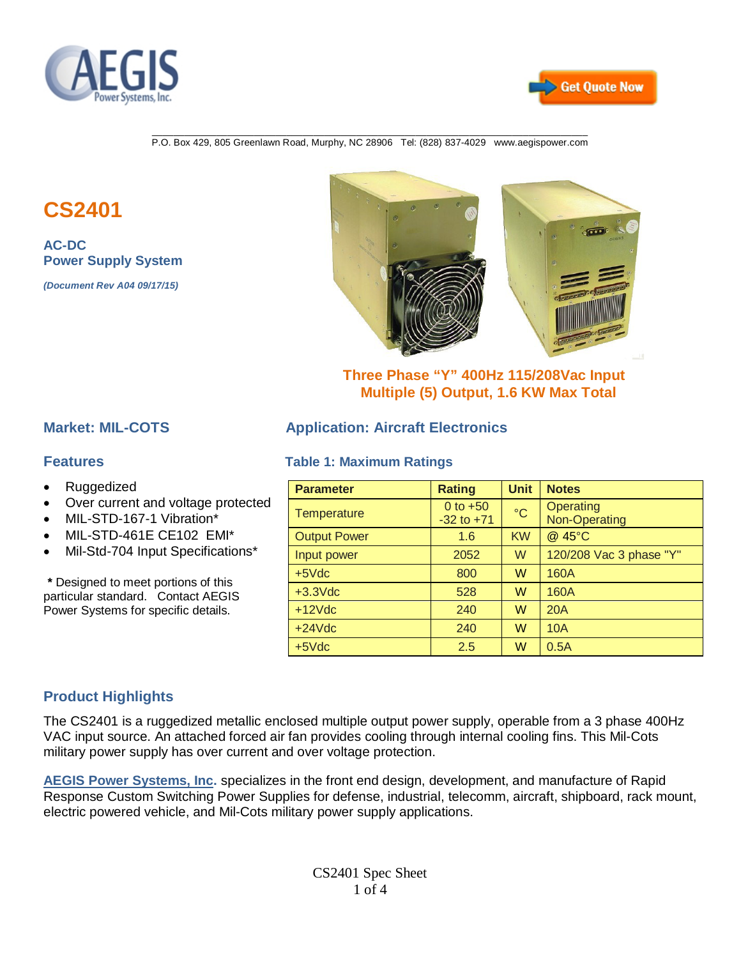



\_\_\_\_\_\_\_\_\_\_\_\_\_\_\_\_\_\_\_\_\_\_\_\_\_\_\_\_\_\_\_\_\_\_\_\_\_\_\_\_\_\_\_\_\_\_\_\_\_\_\_\_\_\_\_\_\_\_\_\_\_\_\_\_\_\_\_\_\_\_\_\_\_\_\_\_\_\_\_\_\_ P.O. Box 429, 805 Greenlawn Road, Murphy, NC 28906 Tel: (828) 837-4029 www.aegispower.com

# **CS2401**

**AC-DC Power Supply System** 

*(Document Rev A04 09/17/15)*



### **Three Phase "Y" 400Hz 115/208Vac Input Multiple (5) Output, 1.6 KW Max Total**

- Ruggedized
- Over current and voltage protected
- MIL-STD-167-1 Vibration\*
- MIL-STD-461E CE102 EMI\*
- Mil-Std-704 Input Specifications\*

**\*** Designed to meet portions of this particular standard. Contact AEGIS Power Systems for specific details.

### **Market: MIL-COTS Application: Aircraft Electronics**

#### **Features Table 1: Maximum Ratings**

| <b>Parameter</b>    | <b>Rating</b>  | <b>Unit</b>     | <b>Notes</b>            |
|---------------------|----------------|-----------------|-------------------------|
| Temperature         | 0 to $+50$     | $\rm ^{\circ}C$ | Operating               |
|                     | $-32$ to $+71$ |                 | Non-Operating           |
| <b>Output Power</b> | 1.6            | <b>KW</b>       | @ 45°C                  |
| Input power         | 2052           | W               | 120/208 Vac 3 phase "Y" |
| $+5$ $\sqrt{dc}$    | 800            | W               | 160A                    |
| $+3.3$ Vdc          | 528            | w               | 160A                    |
| $+12$ $Vdc$         | 240            | W               | 20A                     |
| $+24$ Vdc           | 240            | W               | 10A                     |
| $+5$ $\sqrt{dc}$    | 2.5            | W               | 0.5A                    |

### **Product Highlights**

The CS2401 is a ruggedized metallic enclosed multiple output power supply, operable from a 3 phase 400Hz VAC input source. An attached forced air fan provides cooling through internal cooling fins. This Mil-Cots military power supply has over current and over voltage protection.

**AEGIS Power Systems, Inc.** specializes in the front end design, development, and manufacture of Rapid Response Custom Switching Power Supplies for defense, industrial, telecomm, aircraft, shipboard, rack mount, electric powered vehicle, and Mil-Cots military power supply applications.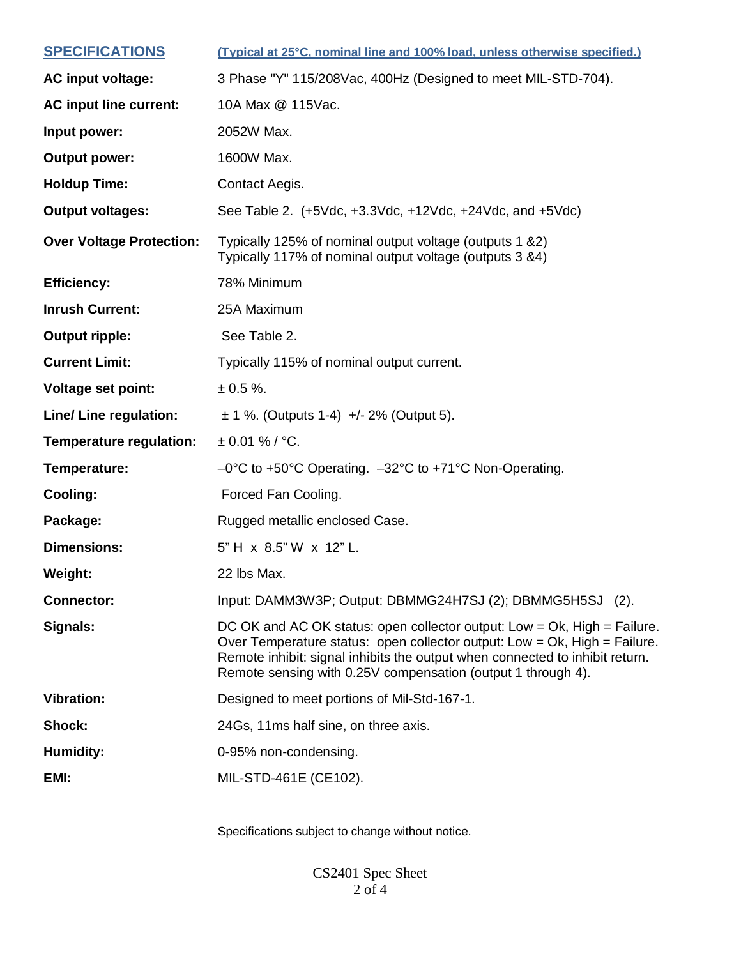| <b>SPECIFICATIONS</b>           | (Typical at 25°C, nominal line and 100% load, unless otherwise specified.)                                                                                                                                                                                                                            |
|---------------------------------|-------------------------------------------------------------------------------------------------------------------------------------------------------------------------------------------------------------------------------------------------------------------------------------------------------|
| AC input voltage:               | 3 Phase "Y" 115/208Vac, 400Hz (Designed to meet MIL-STD-704).                                                                                                                                                                                                                                         |
| <b>AC input line current:</b>   | 10A Max @ 115Vac.                                                                                                                                                                                                                                                                                     |
| Input power:                    | 2052W Max.                                                                                                                                                                                                                                                                                            |
| <b>Output power:</b>            | 1600W Max.                                                                                                                                                                                                                                                                                            |
| <b>Holdup Time:</b>             | Contact Aegis.                                                                                                                                                                                                                                                                                        |
| <b>Output voltages:</b>         | See Table 2. (+5Vdc, +3.3Vdc, +12Vdc, +24Vdc, and +5Vdc)                                                                                                                                                                                                                                              |
| <b>Over Voltage Protection:</b> | Typically 125% of nominal output voltage (outputs 1 &2)<br>Typically 117% of nominal output voltage (outputs 3 &4)                                                                                                                                                                                    |
| <b>Efficiency:</b>              | 78% Minimum                                                                                                                                                                                                                                                                                           |
| <b>Inrush Current:</b>          | 25A Maximum                                                                                                                                                                                                                                                                                           |
| <b>Output ripple:</b>           | See Table 2.                                                                                                                                                                                                                                                                                          |
| <b>Current Limit:</b>           | Typically 115% of nominal output current.                                                                                                                                                                                                                                                             |
| <b>Voltage set point:</b>       | $\pm 0.5 \%$ .                                                                                                                                                                                                                                                                                        |
| Line/ Line regulation:          | $\pm$ 1 %. (Outputs 1-4) +/- 2% (Output 5).                                                                                                                                                                                                                                                           |
| Temperature regulation:         | $\pm 0.01 \%$ / °C.                                                                                                                                                                                                                                                                                   |
| Temperature:                    | -0°C to +50°C Operating. -32°C to +71°C Non-Operating.                                                                                                                                                                                                                                                |
| <b>Cooling:</b>                 | Forced Fan Cooling.                                                                                                                                                                                                                                                                                   |
| Package:                        | Rugged metallic enclosed Case.                                                                                                                                                                                                                                                                        |
| <b>Dimensions:</b>              | 5" H x 8.5" W x 12" L.                                                                                                                                                                                                                                                                                |
| Weight:                         | 22 lbs Max.                                                                                                                                                                                                                                                                                           |
| <b>Connector:</b>               | Input: DAMM3W3P; Output: DBMMG24H7SJ (2); DBMMG5H5SJ (2).                                                                                                                                                                                                                                             |
| Signals:                        | DC OK and AC OK status: open collector output: Low = Ok, High = Failure.<br>Over Temperature status: open collector output: Low = Ok, High = Failure.<br>Remote inhibit: signal inhibits the output when connected to inhibit return.<br>Remote sensing with 0.25V compensation (output 1 through 4). |
| <b>Vibration:</b>               | Designed to meet portions of Mil-Std-167-1.                                                                                                                                                                                                                                                           |
| Shock:                          | 24Gs, 11ms half sine, on three axis.                                                                                                                                                                                                                                                                  |
| <b>Humidity:</b>                | 0-95% non-condensing.                                                                                                                                                                                                                                                                                 |
| EMI:                            | MIL-STD-461E (CE102).                                                                                                                                                                                                                                                                                 |
|                                 |                                                                                                                                                                                                                                                                                                       |

Specifications subject to change without notice.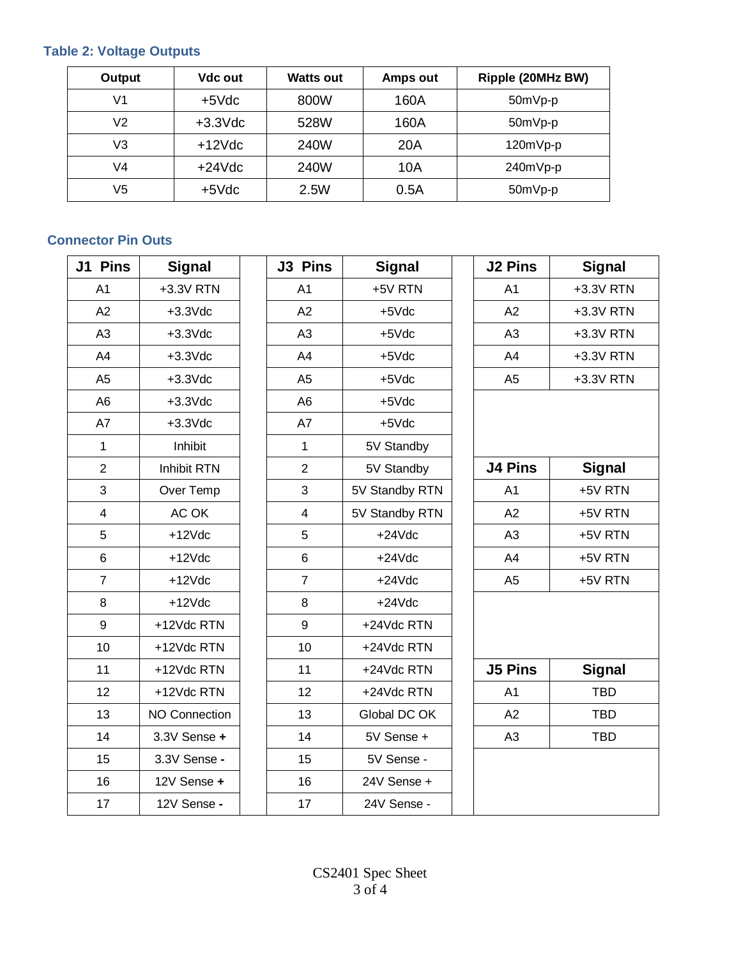# **Table 2: Voltage Outputs**

| Output         | Vdc out            | <b>Watts out</b> | Amps out | Ripple (20MHz BW) |
|----------------|--------------------|------------------|----------|-------------------|
| V <sub>1</sub> | $+5$ $\sqrt{dc}$   | 800W             | 160A     | 50mVp-p           |
| V <sub>2</sub> | $+3.3$ $\sqrt{dc}$ | 528W             | 160A     | 50mVp-p           |
| V3             | $+12$ $Vdc$        | 240W             | 20A      | 120mVp-p          |
| V4             | $+24Vdc$           | 240W             | 10A      | 240mVp-p          |
| V5             | $+5$ $\sqrt{dc}$   | 2.5W             | 0.5A     | 50mVp-p           |

# **Connector Pin Outs**

| J1 Pins        | <b>Signal</b>        | J3 Pins                  | <b>Signal</b>  | <b>J2 Pins</b> | <b>Signal</b> |
|----------------|----------------------|--------------------------|----------------|----------------|---------------|
| A <sub>1</sub> | +3.3V RTN            | A <sub>1</sub>           | +5V RTN        | A <sub>1</sub> | +3.3V RTN     |
| A2             | $+3.3$ $Vdc$         | A2                       | $+5Vdc$        | A2             | +3.3V RTN     |
| A3             | $+3.3$ $Vdc$         | A3                       | $+5Vdc$        | A <sub>3</sub> | +3.3V RTN     |
| A4             | $+3.3$ $Vdc$         | A4                       | $+5$ $Vdc$     | A4             | +3.3V RTN     |
| A <sub>5</sub> | $+3.3$ $Vdc$         | A <sub>5</sub>           | $+5$ $Vdc$     | A <sub>5</sub> | +3.3V RTN     |
| A <sub>6</sub> | $+3.3$ $Vdc$         | A <sub>6</sub>           | $+5$ $Vdc$     |                |               |
| A7             | $+3.3$ $Vdc$         | A7                       | $+5Vdc$        |                |               |
| $\mathbf{1}$   | Inhibit              | $\mathbf{1}$             | 5V Standby     |                |               |
| $\overline{2}$ | Inhibit RTN          | $\overline{2}$           | 5V Standby     | <b>J4 Pins</b> | <b>Signal</b> |
| 3              | Over Temp            | 3                        | 5V Standby RTN | A <sub>1</sub> | +5V RTN       |
| $\overline{4}$ | AC OK                | $\overline{\mathcal{A}}$ | 5V Standby RTN | A2             | +5V RTN       |
| 5              | $+12Vdc$             | 5                        | $+24Vdc$       | A <sub>3</sub> | +5V RTN       |
| $\,6$          | $+12Vdc$             | $\,6$                    | $+24Vdc$       | A4             | +5V RTN       |
| $\overline{7}$ | $+12Vdc$             | $\overline{7}$           | $+24Vdc$       | A <sub>5</sub> | +5V RTN       |
| 8              | $+12Vdc$             | 8                        | $+24Vdc$       |                |               |
| 9              | +12Vdc RTN           | $\boldsymbol{9}$         | +24Vdc RTN     |                |               |
| 10             | +12Vdc RTN           | 10                       | +24Vdc RTN     |                |               |
| 11             | +12Vdc RTN           | 11                       | +24Vdc RTN     | <b>J5 Pins</b> | <b>Signal</b> |
| 12             | +12Vdc RTN           | 12                       | +24Vdc RTN     | A <sub>1</sub> | <b>TBD</b>    |
| 13             | <b>NO Connection</b> | 13                       | Global DC OK   | A2             | <b>TBD</b>    |
| 14             | 3.3V Sense +         | 14                       | 5V Sense +     | A <sub>3</sub> | <b>TBD</b>    |
| 15             | 3.3V Sense -         | 15                       | 5V Sense -     |                |               |
| 16             | 12V Sense +          | 16                       | 24V Sense +    |                |               |
| 17             | 12V Sense -          | 17                       | 24V Sense -    |                |               |